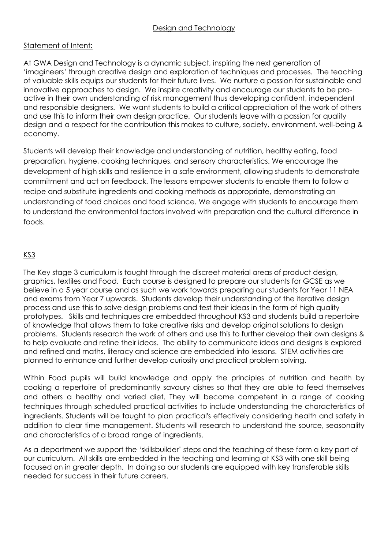## Design and Technology

## Statement of Intent:

At GWA Design and Technology is a dynamic subject, inspiring the next generation of 'imagineers' through creative design and exploration of techniques and processes. The teaching of valuable skills equips our students for their future lives. We nurture a passion for sustainable and innovative approaches to design. We inspire creativity and encourage our students to be proactive in their own understanding of risk management thus developing confident, independent and responsible designers. We want students to build a critical appreciation of the work of others and use this to inform their own design practice. Our students leave with a passion for quality design and a respect for the contribution this makes to culture, society, environment, well-being & economy.

Students will develop their knowledge and understanding of nutrition, healthy eating, food preparation, hygiene, cooking techniques, and sensory characteristics. We encourage the development of high skills and resilience in a safe environment, allowing students to demonstrate commitment and act on feedback. The lessons empower students to enable them to follow a recipe and substitute ingredients and cooking methods as appropriate, demonstrating an understanding of food choices and food science. We engage with students to encourage them to understand the environmental factors involved with preparation and the cultural difference in foods.

## KS3

The Key stage 3 curriculum is taught through the discreet material areas of product design, graphics, textiles and Food. Each course is designed to prepare our students for GCSE as we believe in a 5 year course and as such we work towards preparing our students for Year 11 NEA and exams from Year 7 upwards. Students develop their understanding of the iterative design process and use this to solve design problems and test their ideas in the form of high quality prototypes. Skills and techniques are embedded throughout KS3 and students build a repertoire of knowledge that allows them to take creative risks and develop original solutions to design problems. Students research the work of others and use this to further develop their own designs & to help evaluate and refine their ideas. The ability to communicate ideas and designs is explored and refined and maths, literacy and science are embedded into lessons. STEM activities are planned to enhance and further develop curiosity and practical problem solving.

Within Food pupils will build knowledge and apply the principles of nutrition and health by cooking a repertoire of predominantly savoury dishes so that they are able to feed themselves and others a healthy and varied diet. They will become competent in a range of cooking techniques through scheduled practical activities to include understanding the characteristics of ingredients. Students will be taught to plan practical's effectively considering health and safety in addition to clear time management. Students will research to understand the source, seasonality and characteristics of a broad range of ingredients.

As a department we support the 'skillsbuilder' steps and the teaching of these form a key part of our curriculum. All skills are embedded in the teaching and learning at KS3 with one skill being focused on in greater depth. In doing so our students are equipped with key transferable skills needed for success in their future careers.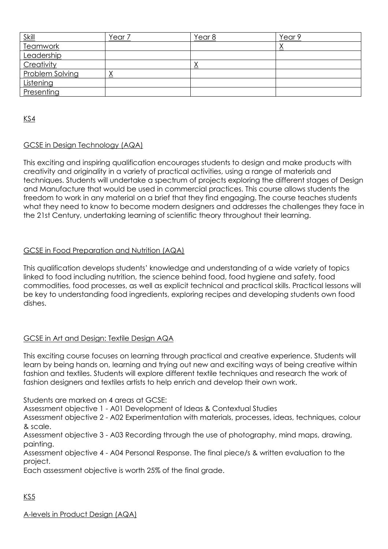| <u>Skill</u>    | rear) | Year 8 | ear 9' |
|-----------------|-------|--------|--------|
| <b>Teamwork</b> |       |        |        |
| Leadership      |       |        |        |
| Creativity      |       | △      |        |
| Problem Solving |       |        |        |
| Listening       |       |        |        |
| Presenting      |       |        |        |

KS4

## GCSE in Design Technology (AQA)

This exciting and inspiring qualification encourages students to design and make products with creativity and originality in a variety of practical activities, using a range of materials and techniques. Students will undertake a spectrum of projects exploring the different stages of Design and Manufacture that would be used in commercial practices. This course allows students the freedom to work in any material on a brief that they find engaging. The course teaches students what they need to know to become modern designers and addresses the challenges they face in the 21st Century, undertaking learning of scientific theory throughout their learning.

## GCSE in Food Preparation and Nutrition (AQA)

This qualification develops students' knowledge and understanding of a wide variety of topics linked to food including nutrition, the science behind food, food hygiene and safety, food commodities, food processes, as well as explicit technical and practical skills. Practical lessons will be key to understanding food ingredients, exploring recipes and developing students own food dishes.

## GCSE in Art and Design: Textile Design AQA

This exciting course focuses on learning through practical and creative experience. Students will learn by being hands on, learning and trying out new and exciting ways of being creative within fashion and textiles. Students will explore different textile techniques and research the work of fashion designers and textiles artists to help enrich and develop their own work.

Students are marked on 4 areas at GCSE:

Assessment objective 1 - A01 Development of Ideas & Contextual Studies

Assessment objective 2 - A02 Experimentation with materials, processes, ideas, techniques, colour & scale.

Assessment objective 3 - A03 Recording through the use of photography, mind maps, drawing, painting.

Assessment objective 4 - A04 Personal Response. The final piece/s & written evaluation to the project.

Each assessment objective is worth 25% of the final grade.

KS5

A-levels in Product Design (AQA)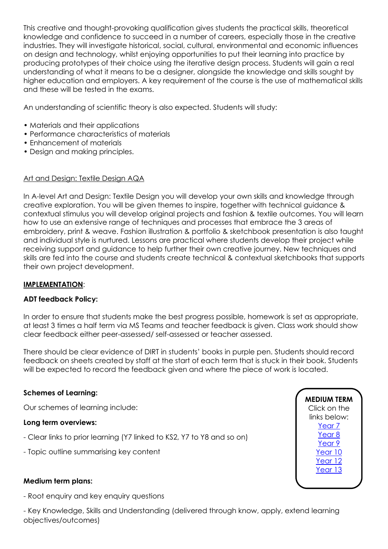This creative and thought-provoking qualification gives students the practical skills, theoretical knowledge and confidence to succeed in a number of careers, especially those in the creative industries. They will investigate historical, social, cultural, environmental and economic influences on design and technology, whilst enjoying opportunities to put their learning into practice by producing prototypes of their choice using the iterative design process. Students will gain a real understanding of what it means to be a designer, alongside the knowledge and skills sought by higher education and employers. A key requirement of the course is the use of mathematical skills and these will be tested in the exams.

An understanding of scientific theory is also expected. Students will study:

- Materials and their applications
- Performance characteristics of materials
- Enhancement of materials
- Design and making principles.

## Art and Design: Textile Design AQA

In A-level Art and Design: Textile Design you will develop your own skills and knowledge through creative exploration. You will be given themes to inspire, together with technical guidance & contextual stimulus you will develop original projects and fashion & textile outcomes. You will learn how to use an extensive range of techniques and processes that embrace the 3 areas of embroidery, print & weave. Fashion illustration & portfolio & sketchbook presentation is also taught and individual style is nurtured. Lessons are practical where students develop their project while receiving support and guidance to help further their own creative journey. New techniques and skills are fed into the course and students create technical & contextual sketchbooks that supports their own project development.

## **IMPLEMENTATION**:

## **ADT feedback Policy:**

In order to ensure that students make the best progress possible, homework is set as appropriate, at least 3 times a half term via MS Teams and teacher feedback is given. Class work should show clear feedback either peer-assessed/ self-assessed or teacher assessed.

There should be clear evidence of DIRT in students' books in purple pen. Students should record feedback on sheets created by staff at the start of each term that is stuck in their book. Students will be expected to record the feedback given and where the piece of work is located.

## **Schemes of Learning:**

Our schemes of learning include:

#### **Long term overviews:**

- Clear links to prior learning (Y7 linked to KS2, Y7 to Y8 and so on)
- Topic outline summarising key content

## **Medium term plans:**

- Root enquiry and key enquiry questions

- Key Knowledge, Skills and Understanding (delivered through know, apply, extend learning objectives/outcomes)